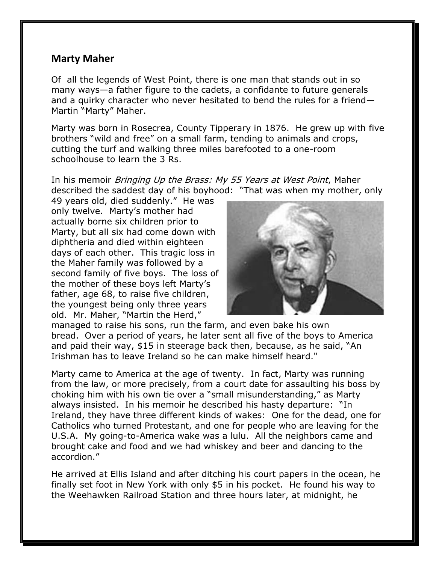## **Marty Maher**

Of all the legends of West Point, there is one man that stands out in so many ways—a father figure to the cadets, a confidante to future generals and a quirky character who never hesitated to bend the rules for a friend— Martin "Marty" Maher.

Marty was born in Rosecrea, County Tipperary in 1876. He grew up with five brothers "wild and free" on a small farm, tending to animals and crops, cutting the turf and walking three miles barefooted to a one-room schoolhouse to learn the 3 Rs.

In his memoir *Bringing Up the Brass: My 55 Years at West Point*, Maher described the saddest day of his boyhood: "That was when my mother, only

49 years old, died suddenly." He was only twelve. Marty's mother had actually borne six children prior to Marty, but all six had come down with diphtheria and died within eighteen days of each other. This tragic loss in the Maher family was followed by a second family of five boys. The loss of the mother of these boys left Marty's father, age 68, to raise five children, the youngest being only three years old. Mr. Maher, "Martin the Herd,"



managed to raise his sons, run the farm, and even bake his own bread. Over a period of years, he later sent all five of the boys to America and paid their way, \$15 in steerage back then, because, as he said, "An Irishman has to leave Ireland so he can make himself heard."

Marty came to America at the age of twenty. In fact, Marty was running from the law, or more precisely, from a court date for assaulting his boss by choking him with his own tie over a "small misunderstanding," as Marty always insisted. In his memoir he described his hasty departure: "In Ireland, they have three different kinds of wakes: One for the dead, one for Catholics who turned Protestant, and one for people who are leaving for the U.S.A. My going-to-America wake was a lulu. All the neighbors came and brought cake and food and we had whiskey and beer and dancing to the accordion."

He arrived at Ellis Island and after ditching his court papers in the ocean, he finally set foot in New York with only \$5 in his pocket. He found his way to the Weehawken Railroad Station and three hours later, at midnight, he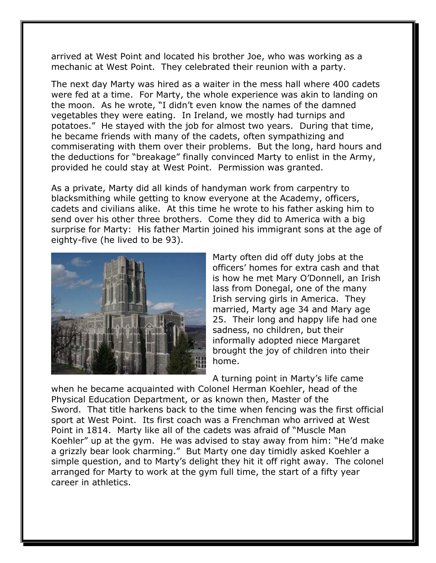arrived at West Point and located his brother Joe, who was working as a mechanic at West Point. They celebrated their reunion with a party.

The next day Marty was hired as a waiter in the mess hall where 400 cadets were fed at a time. For Marty, the whole experience was akin to landing on the moon. As he wrote, "I didn't even know the names of the damned vegetables they were eating. In Ireland, we mostly had turnips and potatoes." He stayed with the job for almost two years. During that time, he became friends with many of the cadets, often sympathizing and commiserating with them over their problems. But the long, hard hours and the deductions for "breakage" finally convinced Marty to enlist in the Army, provided he could stay at West Point. Permission was granted.

As a private, Marty did all kinds of handyman work from carpentry to blacksmithing while getting to know everyone at the Academy, officers, cadets and civilians alike. At this time he wrote to his father asking him to send over his other three brothers. Come they did to America with a big surprise for Marty: His father Martin joined his immigrant sons at the age of eighty-five (he lived to be 93).



Marty often did off duty jobs at the officers' homes for extra cash and that is how he met Mary O'Donnell, an Irish lass from Donegal, one of the many Irish serving girls in America. They married, Marty age 34 and Mary age 25. Their long and happy life had one sadness, no children, but their informally adopted niece Margaret brought the joy of children into their home.

A turning point in Marty's life came

when he became acquainted with Colonel Herman Koehler, head of the Physical Education Department, or as known then, Master of the Sword. That title harkens back to the time when fencing was the first official sport at West Point. Its first coach was a Frenchman who arrived at West Point in 1814. Marty like all of the cadets was afraid of "Muscle Man Koehler" up at the gym. He was advised to stay away from him: "He'd make a grizzly bear look charming." But Marty one day timidly asked Koehler a simple question, and to Marty's delight they hit it off right away. The colonel arranged for Marty to work at the gym full time, the start of a fifty year career in athletics.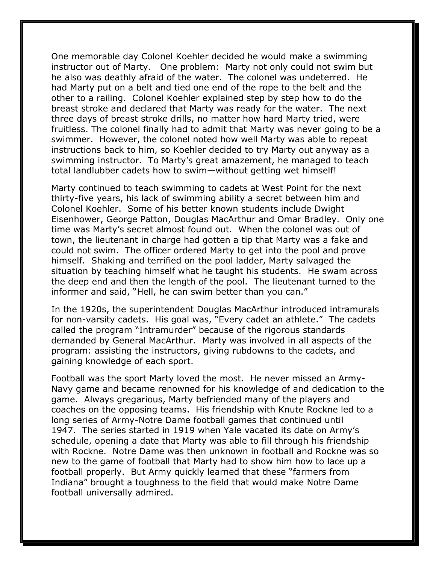One memorable day Colonel Koehler decided he would make a swimming instructor out of Marty. One problem: Marty not only could not swim but he also was deathly afraid of the water. The colonel was undeterred. He had Marty put on a belt and tied one end of the rope to the belt and the other to a railing. Colonel Koehler explained step by step how to do the breast stroke and declared that Marty was ready for the water. The next three days of breast stroke drills, no matter how hard Marty tried, were fruitless. The colonel finally had to admit that Marty was never going to be a swimmer. However, the colonel noted how well Marty was able to repeat instructions back to him, so Koehler decided to try Marty out anyway as a swimming instructor. To Marty's great amazement, he managed to teach total landlubber cadets how to swim—without getting wet himself!

Marty continued to teach swimming to cadets at West Point for the next thirty-five years, his lack of swimming ability a secret between him and Colonel Koehler. Some of his better known students include Dwight Eisenhower, George Patton, Douglas MacArthur and Omar Bradley. Only one time was Marty's secret almost found out. When the colonel was out of town, the lieutenant in charge had gotten a tip that Marty was a fake and could not swim. The officer ordered Marty to get into the pool and prove himself. Shaking and terrified on the pool ladder, Marty salvaged the situation by teaching himself what he taught his students. He swam across the deep end and then the length of the pool. The lieutenant turned to the informer and said, "Hell, he can swim better than you can."

In the 1920s, the superintendent Douglas MacArthur introduced intramurals for non-varsity cadets. His goal was, "Every cadet an athlete." The cadets called the program "Intramurder" because of the rigorous standards demanded by General MacArthur. Marty was involved in all aspects of the program: assisting the instructors, giving rubdowns to the cadets, and gaining knowledge of each sport.

Football was the sport Marty loved the most. He never missed an Army-Navy game and became renowned for his knowledge of and dedication to the game. Always gregarious, Marty befriended many of the players and coaches on the opposing teams. His friendship with Knute Rockne led to a long series of Army-Notre Dame football games that continued until 1947. The series started in 1919 when Yale vacated its date on Army's schedule, opening a date that Marty was able to fill through his friendship with Rockne. Notre Dame was then unknown in football and Rockne was so new to the game of football that Marty had to show him how to lace up a football properly. But Army quickly learned that these "farmers from Indiana" brought a toughness to the field that would make Notre Dame football universally admired.